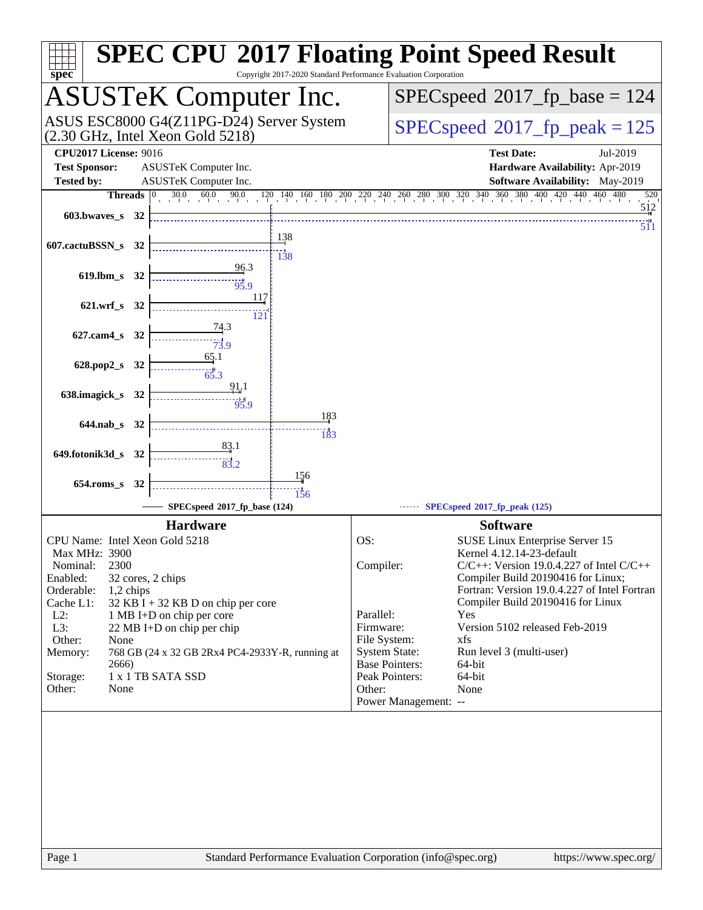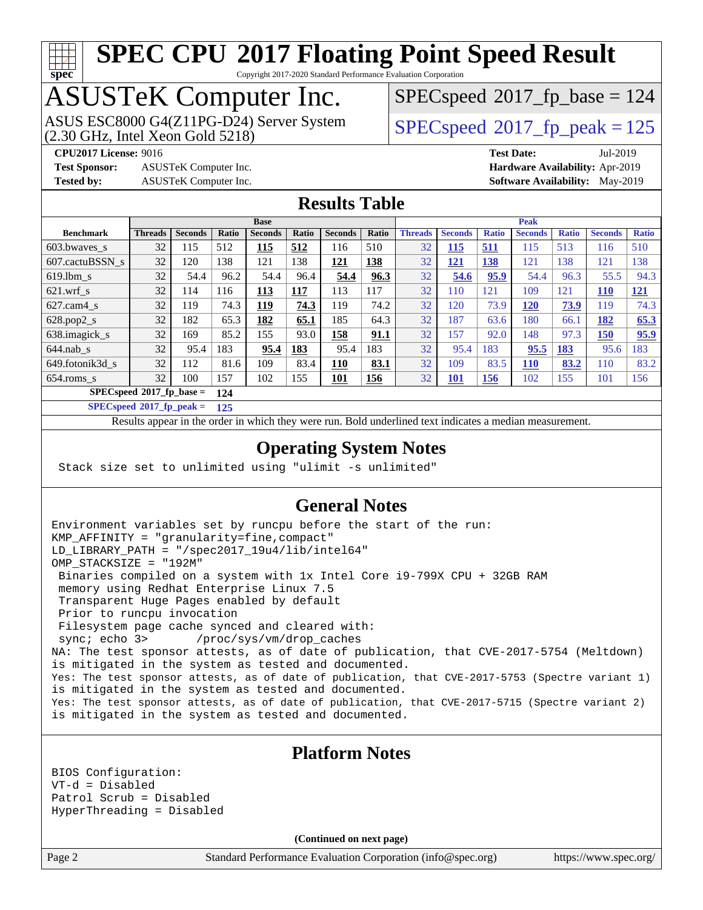# **[spec](http://www.spec.org/)**

# **[SPEC CPU](http://www.spec.org/auto/cpu2017/Docs/result-fields.html#SPECCPU2017FloatingPointSpeedResult)[2017 Floating Point Speed Result](http://www.spec.org/auto/cpu2017/Docs/result-fields.html#SPECCPU2017FloatingPointSpeedResult)**

Copyright 2017-2020 Standard Performance Evaluation Corporation

## ASUSTeK Computer Inc.

(2.30 GHz, Intel Xeon Gold 5218) ASUS ESC8000 G4(Z11PG-D24) Server System  $SPEC speed@2017$  fp\_peak = 125

[SPECspeed](http://www.spec.org/auto/cpu2017/Docs/result-fields.html#SPECspeed2017fpbase)<sup>®</sup>2017 fp base = 124

**[Test Sponsor:](http://www.spec.org/auto/cpu2017/Docs/result-fields.html#TestSponsor)** ASUSTeK Computer Inc. **[Hardware Availability:](http://www.spec.org/auto/cpu2017/Docs/result-fields.html#HardwareAvailability)** Apr-2019

**[CPU2017 License:](http://www.spec.org/auto/cpu2017/Docs/result-fields.html#CPU2017License)** 9016 **[Test Date:](http://www.spec.org/auto/cpu2017/Docs/result-fields.html#TestDate)** Jul-2019 **[Tested by:](http://www.spec.org/auto/cpu2017/Docs/result-fields.html#Testedby)** ASUSTeK Computer Inc. **[Software Availability:](http://www.spec.org/auto/cpu2017/Docs/result-fields.html#SoftwareAvailability)** May-2019

#### **[Results Table](http://www.spec.org/auto/cpu2017/Docs/result-fields.html#ResultsTable)**

|                            | <b>Base</b>    |                |              |                |       |                |            | <b>Peak</b>    |                |              |                |              |                |              |
|----------------------------|----------------|----------------|--------------|----------------|-------|----------------|------------|----------------|----------------|--------------|----------------|--------------|----------------|--------------|
| <b>Benchmark</b>           | <b>Threads</b> | <b>Seconds</b> | <b>Ratio</b> | <b>Seconds</b> | Ratio | <b>Seconds</b> | Ratio      | <b>Threads</b> | <b>Seconds</b> | <b>Ratio</b> | <b>Seconds</b> | <b>Ratio</b> | <b>Seconds</b> | <b>Ratio</b> |
| 603.bwayes s               | 32             | 115            | 512          | 115            | 512   | 116            | 510        | 32             | <u>115</u>     | <u>511</u>   | 115            | 513          | 116            | 510          |
| 607.cactuBSSN s            | 32             | 120            | 138          | 121            | 138   | 121            | 138        | 32             | <u>121</u>     | <b>138</b>   | 121            | 138          | 121            | 138          |
| $619.$ lbm s               | 32             | 54.4           | 96.2         | 54.4           | 96.4  | 54.4           | 96.3       | 32             | 54.6           | 95.9         | 54.4           | 96.3         | 55.5           | 94.3         |
| $621$ .wrf s               | 32             | 114            | 116          | 113            | 117   | 113            | 117        | 32             | 110            | 121          | 109            | 121          | <b>110</b>     | <u>121</u>   |
| $627$ .cam4 s              | 32             | 119            | 74.3         | 119            | 74.3  | 119            | 74.2       | 32             | 120            | 73.9         | <b>120</b>     | 73.9         | 119            | 74.3         |
| $628.pop2_s$               | 32             | 182            | 65.3         | 182            | 65.1  | 185            | 64.3       | 32             | 187            | 63.6         | 180            | 66.1         | 182            | 65.3         |
| 638.imagick_s              | 32             | 169            | 85.2         | 155            | 93.0  | 158            | 91.1       | 32             | 157            | 92.0         | 148            | 97.3         | 150            | 95.9         |
| $644$ .nab s               | 32             | 95.4           | 183          | 95.4           | 183   | 95.4           | 183        | 32             | 95.4           | 183          | 95.5           | 183          | 95.6           | 183          |
| 649.fotonik3d s            | 32             | 112            | 81.6         | 109            | 83.4  | 110            | 83.1       | 32             | 109            | 83.5         | <b>110</b>     | 83.2         | 110            | 83.2         |
| $654$ .roms s              | 32             | 100            | 157          | 102            | 155   | <u>101</u>     | <b>156</b> | 32             | <u>101</u>     | <u>156</u>   | 102            | 155          | 101            | 156          |
| $SPECspeed*2017$ fp base = |                |                | 124          |                |       |                |            |                |                |              |                |              |                |              |

**[SPECspeed](http://www.spec.org/auto/cpu2017/Docs/result-fields.html#SPECspeed2017fppeak)[2017\\_fp\\_peak =](http://www.spec.org/auto/cpu2017/Docs/result-fields.html#SPECspeed2017fppeak) 125**

Results appear in the [order in which they were run.](http://www.spec.org/auto/cpu2017/Docs/result-fields.html#RunOrder) Bold underlined text [indicates a median measurement](http://www.spec.org/auto/cpu2017/Docs/result-fields.html#Median).

#### **[Operating System Notes](http://www.spec.org/auto/cpu2017/Docs/result-fields.html#OperatingSystemNotes)**

Stack size set to unlimited using "ulimit -s unlimited"

#### **[General Notes](http://www.spec.org/auto/cpu2017/Docs/result-fields.html#GeneralNotes)**

Environment variables set by runcpu before the start of the run: KMP\_AFFINITY = "granularity=fine,compact" LD\_LIBRARY\_PATH = "/spec2017\_19u4/lib/intel64" OMP\_STACKSIZE = "192M" Binaries compiled on a system with 1x Intel Core i9-799X CPU + 32GB RAM memory using Redhat Enterprise Linux 7.5 Transparent Huge Pages enabled by default Prior to runcpu invocation Filesystem page cache synced and cleared with: sync; echo 3> /proc/sys/vm/drop\_caches NA: The test sponsor attests, as of date of publication, that CVE-2017-5754 (Meltdown) is mitigated in the system as tested and documented. Yes: The test sponsor attests, as of date of publication, that CVE-2017-5753 (Spectre variant 1) is mitigated in the system as tested and documented. Yes: The test sponsor attests, as of date of publication, that CVE-2017-5715 (Spectre variant 2) is mitigated in the system as tested and documented.

#### **[Platform Notes](http://www.spec.org/auto/cpu2017/Docs/result-fields.html#PlatformNotes)**

BIOS Configuration: VT-d = Disabled Patrol Scrub = Disabled HyperThreading = Disabled

**(Continued on next page)**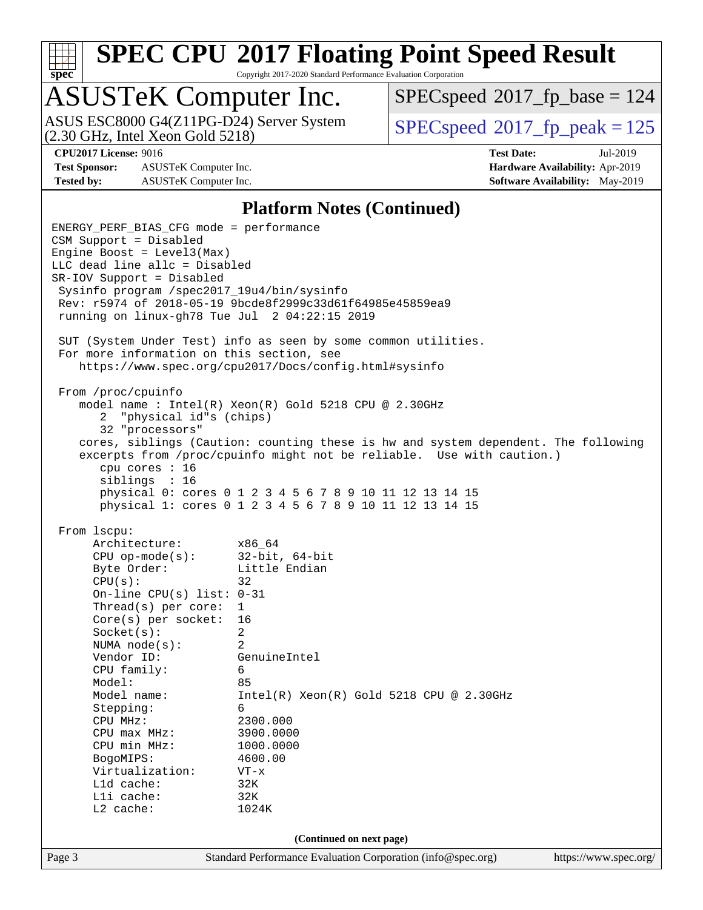

Copyright 2017-2020 Standard Performance Evaluation Corporation

## ASUSTeK Computer Inc.

(2.30 GHz, Intel Xeon Gold 5218) ASUS ESC8000 G4(Z11PG-D24) Server System  $SPECspeed@2017$  $SPECspeed@2017$  fp\_peak = 125

[SPECspeed](http://www.spec.org/auto/cpu2017/Docs/result-fields.html#SPECspeed2017fpbase)<sup>®</sup>2017 fp base = 124

**[Test Sponsor:](http://www.spec.org/auto/cpu2017/Docs/result-fields.html#TestSponsor)** ASUSTeK Computer Inc. **[Hardware Availability:](http://www.spec.org/auto/cpu2017/Docs/result-fields.html#HardwareAvailability)** Apr-2019 **[Tested by:](http://www.spec.org/auto/cpu2017/Docs/result-fields.html#Testedby)** ASUSTeK Computer Inc. **[Software Availability:](http://www.spec.org/auto/cpu2017/Docs/result-fields.html#SoftwareAvailability)** May-2019

**[CPU2017 License:](http://www.spec.org/auto/cpu2017/Docs/result-fields.html#CPU2017License)** 9016 **[Test Date:](http://www.spec.org/auto/cpu2017/Docs/result-fields.html#TestDate)** Jul-2019

#### **[Platform Notes \(Continued\)](http://www.spec.org/auto/cpu2017/Docs/result-fields.html#PlatformNotes)**

Page 3 Standard Performance Evaluation Corporation [\(info@spec.org\)](mailto:info@spec.org) <https://www.spec.org/> ENERGY\_PERF\_BIAS\_CFG mode = performance CSM Support = Disabled Engine Boost = Level3(Max) LLC dead line allc = Disabled SR-IOV Support = Disabled Sysinfo program /spec2017\_19u4/bin/sysinfo Rev: r5974 of 2018-05-19 9bcde8f2999c33d61f64985e45859ea9 running on linux-gh78 Tue Jul 2 04:22:15 2019 SUT (System Under Test) info as seen by some common utilities. For more information on this section, see <https://www.spec.org/cpu2017/Docs/config.html#sysinfo> From /proc/cpuinfo model name : Intel(R) Xeon(R) Gold 5218 CPU @ 2.30GHz 2 "physical id"s (chips) 32 "processors" cores, siblings (Caution: counting these is hw and system dependent. The following excerpts from /proc/cpuinfo might not be reliable. Use with caution.) cpu cores : 16 siblings : 16 physical 0: cores 0 1 2 3 4 5 6 7 8 9 10 11 12 13 14 15 physical 1: cores 0 1 2 3 4 5 6 7 8 9 10 11 12 13 14 15 From lscpu: Architecture: x86\_64 CPU op-mode(s): 32-bit, 64-bit Byte Order: Little Endian  $CPU(s):$  32 On-line CPU(s) list: 0-31 Thread(s) per core: 1 Core(s) per socket: 16 Socket(s): 2 NUMA node(s): 2 Vendor ID: GenuineIntel CPU family: 6 Model: 85 Model name: Intel(R) Xeon(R) Gold 5218 CPU @ 2.30GHz Stepping: 6 CPU MHz: 2300.000 CPU max MHz: 3900.0000 CPU min MHz: 1000.0000 BogoMIPS: 4600.00 Virtualization: VT-x L1d cache: 32K L1i cache: 32K L2 cache: 1024K **(Continued on next page)**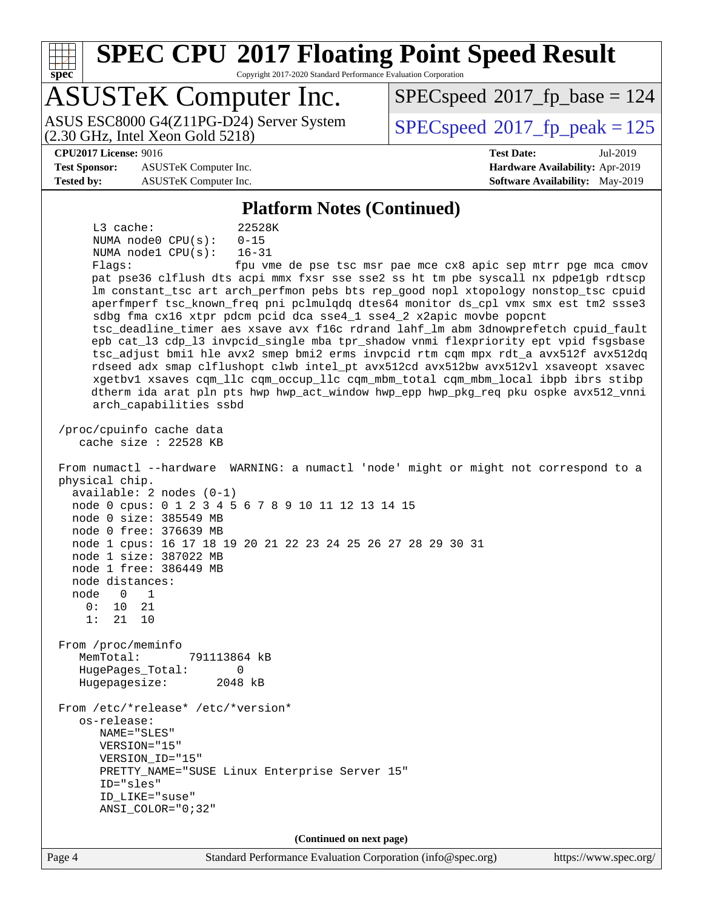

Copyright 2017-2020 Standard Performance Evaluation Corporation

## ASUSTeK Computer Inc.

(2.30 GHz, Intel Xeon Gold 5218) ASUS ESC8000 G4(Z11PG-D24) Server System  $SPEC speed@2017$  fp\_peak = 125

[SPECspeed](http://www.spec.org/auto/cpu2017/Docs/result-fields.html#SPECspeed2017fpbase)<sup>®</sup>2017 fp base = 124

**[Test Sponsor:](http://www.spec.org/auto/cpu2017/Docs/result-fields.html#TestSponsor)** ASUSTeK Computer Inc. **[Hardware Availability:](http://www.spec.org/auto/cpu2017/Docs/result-fields.html#HardwareAvailability)** Apr-2019 **[Tested by:](http://www.spec.org/auto/cpu2017/Docs/result-fields.html#Testedby)** ASUSTeK Computer Inc. **[Software Availability:](http://www.spec.org/auto/cpu2017/Docs/result-fields.html#SoftwareAvailability)** May-2019

# **[CPU2017 License:](http://www.spec.org/auto/cpu2017/Docs/result-fields.html#CPU2017License)** 9016 **[Test Date:](http://www.spec.org/auto/cpu2017/Docs/result-fields.html#TestDate)** Jul-2019

#### **[Platform Notes \(Continued\)](http://www.spec.org/auto/cpu2017/Docs/result-fields.html#PlatformNotes)**

 L3 cache: 22528K NUMA node0 CPU(s): 0-15 NUMA node1 CPU(s): 16-31

Flags: fpu vme de pse tsc msr pae mce cx8 apic sep mtrr pge mca cmov pat pse36 clflush dts acpi mmx fxsr sse sse2 ss ht tm pbe syscall nx pdpe1gb rdtscp lm constant\_tsc art arch\_perfmon pebs bts rep\_good nopl xtopology nonstop\_tsc cpuid aperfmperf tsc\_known\_freq pni pclmulqdq dtes64 monitor ds\_cpl vmx smx est tm2 ssse3 sdbg fma cx16 xtpr pdcm pcid dca sse4\_1 sse4\_2 x2apic movbe popcnt tsc\_deadline\_timer aes xsave avx f16c rdrand lahf\_lm abm 3dnowprefetch cpuid\_fault epb cat\_l3 cdp\_l3 invpcid\_single mba tpr\_shadow vnmi flexpriority ept vpid fsgsbase tsc\_adjust bmi1 hle avx2 smep bmi2 erms invpcid rtm cqm mpx rdt\_a avx512f avx512dq rdseed adx smap clflushopt clwb intel\_pt avx512cd avx512bw avx512vl xsaveopt xsavec xgetbv1 xsaves cqm\_llc cqm\_occup\_llc cqm\_mbm\_total cqm\_mbm\_local ibpb ibrs stibp dtherm ida arat pln pts hwp hwp\_act\_window hwp\_epp hwp\_pkg\_req pku ospke avx512\_vnni arch\_capabilities ssbd /proc/cpuinfo cache data cache size : 22528 KB From numactl --hardware WARNING: a numactl 'node' might or might not correspond to a physical chip.

 available: 2 nodes (0-1) node 0 cpus: 0 1 2 3 4 5 6 7 8 9 10 11 12 13 14 15 node 0 size: 385549 MB node 0 free: 376639 MB node 1 cpus: 16 17 18 19 20 21 22 23 24 25 26 27 28 29 30 31 node 1 size: 387022 MB node 1 free: 386449 MB

 node distances: node 0 1 0: 10 21 1: 21 10 From /proc/meminfo MemTotal: 791113864 kB HugePages\_Total: 0 Hugepagesize: 2048 kB From /etc/\*release\* /etc/\*version\* os-release: NAME="SLES" VERSION="15"

ANSI\_COLOR="0;32"

 VERSION\_ID="15" PRETTY\_NAME="SUSE Linux Enterprise Server 15" ID="sles" ID\_LIKE="suse"

**(Continued on next page)**

Page 4 Standard Performance Evaluation Corporation [\(info@spec.org\)](mailto:info@spec.org) <https://www.spec.org/>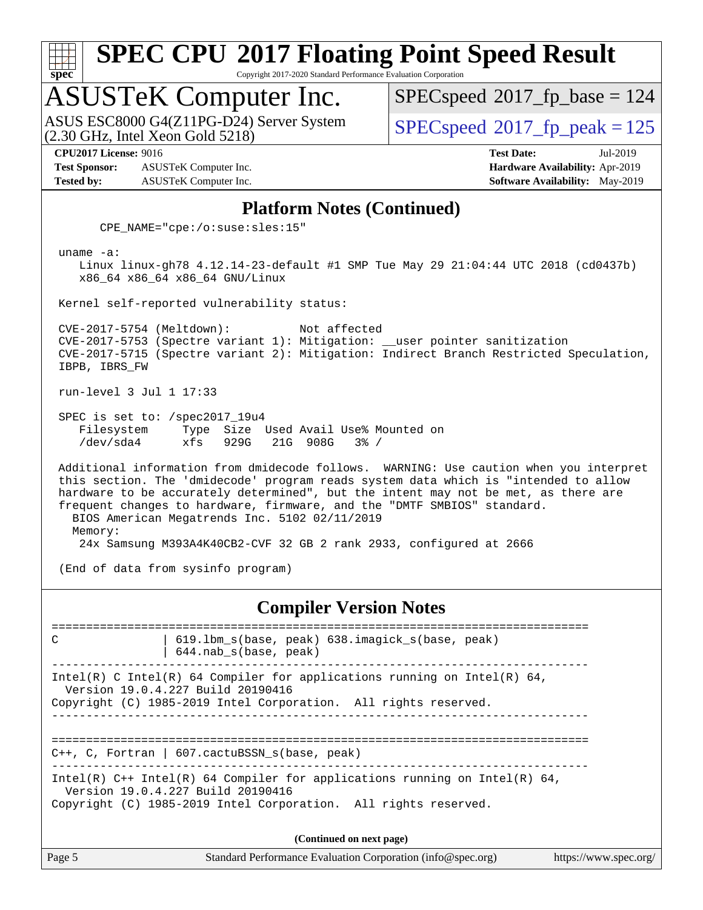

Copyright 2017-2020 Standard Performance Evaluation Corporation

# ASUSTeK Computer Inc.<br>ASUS ESC8000 G4(Z11PG-D24) Server System

(2.30 GHz, Intel Xeon Gold 5218)

[SPECspeed](http://www.spec.org/auto/cpu2017/Docs/result-fields.html#SPECspeed2017fpbase)<sup>®</sup>2017 fp base = 124

[SPECspeed](http://www.spec.org/auto/cpu2017/Docs/result-fields.html#SPECspeed2017fppeak)<sup>®</sup>2017 fp peak = 125

**[Test Sponsor:](http://www.spec.org/auto/cpu2017/Docs/result-fields.html#TestSponsor)** ASUSTeK Computer Inc. **[Hardware Availability:](http://www.spec.org/auto/cpu2017/Docs/result-fields.html#HardwareAvailability)** Apr-2019 **[Tested by:](http://www.spec.org/auto/cpu2017/Docs/result-fields.html#Testedby)** ASUSTeK Computer Inc. **[Software Availability:](http://www.spec.org/auto/cpu2017/Docs/result-fields.html#SoftwareAvailability)** May-2019

**[CPU2017 License:](http://www.spec.org/auto/cpu2017/Docs/result-fields.html#CPU2017License)** 9016 **[Test Date:](http://www.spec.org/auto/cpu2017/Docs/result-fields.html#TestDate)** Jul-2019

#### **[Platform Notes \(Continued\)](http://www.spec.org/auto/cpu2017/Docs/result-fields.html#PlatformNotes)**

CPE\_NAME="cpe:/o:suse:sles:15"

uname -a:

 Linux linux-gh78 4.12.14-23-default #1 SMP Tue May 29 21:04:44 UTC 2018 (cd0437b) x86\_64 x86\_64 x86\_64 GNU/Linux

Kernel self-reported vulnerability status:

 CVE-2017-5754 (Meltdown): Not affected CVE-2017-5753 (Spectre variant 1): Mitigation: \_\_user pointer sanitization CVE-2017-5715 (Spectre variant 2): Mitigation: Indirect Branch Restricted Speculation, IBPB, IBRS\_FW

run-level 3 Jul 1 17:33

 SPEC is set to: /spec2017\_19u4 Filesystem Type Size Used Avail Use% Mounted on /dev/sda4 xfs 929G 21G 908G 3% /

 Additional information from dmidecode follows. WARNING: Use caution when you interpret this section. The 'dmidecode' program reads system data which is "intended to allow hardware to be accurately determined", but the intent may not be met, as there are frequent changes to hardware, firmware, and the "DMTF SMBIOS" standard. BIOS American Megatrends Inc. 5102 02/11/2019 Memory:

24x Samsung M393A4K40CB2-CVF 32 GB 2 rank 2933, configured at 2666

(End of data from sysinfo program)

#### **[Compiler Version Notes](http://www.spec.org/auto/cpu2017/Docs/result-fields.html#CompilerVersionNotes)**

============================================================================== C | 619.lbm\_s(base, peak) 638.imagick\_s(base, peak) | 644.nab\_s(base, peak) ------------------------------------------------------------------------------ Intel(R) C Intel(R) 64 Compiler for applications running on Intel(R)  $64$ , Version 19.0.4.227 Build 20190416 Copyright (C) 1985-2019 Intel Corporation. All rights reserved. ------------------------------------------------------------------------------ ============================================================================== C++, C, Fortran | 607.cactuBSSN\_s(base, peak) ------------------------------------------------------------------------------ Intel(R) C++ Intel(R) 64 Compiler for applications running on Intel(R) 64, Version 19.0.4.227 Build 20190416 Copyright (C) 1985-2019 Intel Corporation. All rights reserved. **(Continued on next page)**

Page 5 Standard Performance Evaluation Corporation [\(info@spec.org\)](mailto:info@spec.org) <https://www.spec.org/>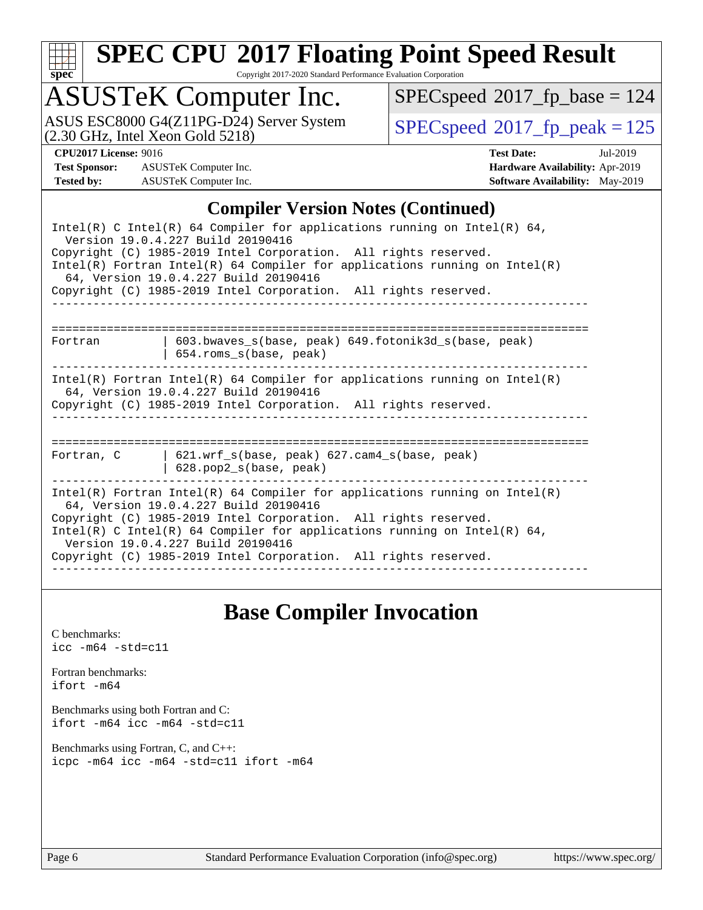

Copyright 2017-2020 Standard Performance Evaluation Corporation

## ASUSTeK Computer Inc.

(2.30 GHz, Intel Xeon Gold 5218) ASUS ESC8000 G4(Z11PG-D24) Server System  $SPECspeed@2017_fp\_peak = 125$  $SPECspeed@2017_fp\_peak = 125$ 

 $SPECspeed^{\circledcirc}2017_fp\_base = 124$  $SPECspeed^{\circledcirc}2017_fp\_base = 124$ 

**[Test Sponsor:](http://www.spec.org/auto/cpu2017/Docs/result-fields.html#TestSponsor)** ASUSTeK Computer Inc. **[Hardware Availability:](http://www.spec.org/auto/cpu2017/Docs/result-fields.html#HardwareAvailability)** Apr-2019 **[Tested by:](http://www.spec.org/auto/cpu2017/Docs/result-fields.html#Testedby)** ASUSTeK Computer Inc. **[Software Availability:](http://www.spec.org/auto/cpu2017/Docs/result-fields.html#SoftwareAvailability)** May-2019

**[CPU2017 License:](http://www.spec.org/auto/cpu2017/Docs/result-fields.html#CPU2017License)** 9016 **[Test Date:](http://www.spec.org/auto/cpu2017/Docs/result-fields.html#TestDate)** Jul-2019

#### **[Compiler Version Notes \(Continued\)](http://www.spec.org/auto/cpu2017/Docs/result-fields.html#CompilerVersionNotes)**

| Intel(R) C Intel(R) 64 Compiler for applications running on Intel(R) 64,<br>Version 19.0.4.227 Build 20190416                                                                            |                                                                                                                                                                                  |  |  |  |  |  |  |
|------------------------------------------------------------------------------------------------------------------------------------------------------------------------------------------|----------------------------------------------------------------------------------------------------------------------------------------------------------------------------------|--|--|--|--|--|--|
| Copyright (C) 1985-2019 Intel Corporation. All rights reserved.                                                                                                                          |                                                                                                                                                                                  |  |  |  |  |  |  |
| $Intel(R)$ Fortran Intel(R) 64 Compiler for applications running on Intel(R)<br>64, Version 19.0.4.227 Build 20190416                                                                    |                                                                                                                                                                                  |  |  |  |  |  |  |
| Copyright (C) 1985-2019 Intel Corporation. All rights reserved.                                                                                                                          |                                                                                                                                                                                  |  |  |  |  |  |  |
|                                                                                                                                                                                          |                                                                                                                                                                                  |  |  |  |  |  |  |
| Fortran                                                                                                                                                                                  | 603.bwaves s(base, peak) 649.fotonik3d s(base, peak)<br>$654.rows_s(base, peak)$                                                                                                 |  |  |  |  |  |  |
| $Intel(R)$ Fortran Intel(R) 64 Compiler for applications running on Intel(R)<br>64, Version 19.0.4.227 Build 20190416<br>Copyright (C) 1985-2019 Intel Corporation. All rights reserved. |                                                                                                                                                                                  |  |  |  |  |  |  |
|                                                                                                                                                                                          |                                                                                                                                                                                  |  |  |  |  |  |  |
| Fortran, C                                                                                                                                                                               | $\vert$ 621.wrf_s(base, peak) 627.cam4_s(base, peak)<br>$628. pop2_s(base, peak)$                                                                                                |  |  |  |  |  |  |
|                                                                                                                                                                                          | $Intel(R)$ Fortran Intel(R) 64 Compiler for applications running on Intel(R)<br>64, Version 19.0.4.227 Build 20190416                                                            |  |  |  |  |  |  |
|                                                                                                                                                                                          | Copyright (C) 1985-2019 Intel Corporation. All rights reserved.<br>Intel(R) C Intel(R) 64 Compiler for applications running on Intel(R) 64,<br>Version 19.0.4.227 Build 20190416 |  |  |  |  |  |  |
|                                                                                                                                                                                          | Copyright (C) 1985-2019 Intel Corporation. All rights reserved.                                                                                                                  |  |  |  |  |  |  |

#### **[Base Compiler Invocation](http://www.spec.org/auto/cpu2017/Docs/result-fields.html#BaseCompilerInvocation)**

[C benchmarks](http://www.spec.org/auto/cpu2017/Docs/result-fields.html#Cbenchmarks): [icc -m64 -std=c11](http://www.spec.org/cpu2017/results/res2019q3/cpu2017-20190722-16299.flags.html#user_CCbase_intel_icc_64bit_c11_33ee0cdaae7deeeab2a9725423ba97205ce30f63b9926c2519791662299b76a0318f32ddfffdc46587804de3178b4f9328c46fa7c2b0cd779d7a61945c91cd35)

[Fortran benchmarks](http://www.spec.org/auto/cpu2017/Docs/result-fields.html#Fortranbenchmarks): [ifort -m64](http://www.spec.org/cpu2017/results/res2019q3/cpu2017-20190722-16299.flags.html#user_FCbase_intel_ifort_64bit_24f2bb282fbaeffd6157abe4f878425411749daecae9a33200eee2bee2fe76f3b89351d69a8130dd5949958ce389cf37ff59a95e7a40d588e8d3a57e0c3fd751)

[Benchmarks using both Fortran and C](http://www.spec.org/auto/cpu2017/Docs/result-fields.html#BenchmarksusingbothFortranandC): [ifort -m64](http://www.spec.org/cpu2017/results/res2019q3/cpu2017-20190722-16299.flags.html#user_CC_FCbase_intel_ifort_64bit_24f2bb282fbaeffd6157abe4f878425411749daecae9a33200eee2bee2fe76f3b89351d69a8130dd5949958ce389cf37ff59a95e7a40d588e8d3a57e0c3fd751) [icc -m64 -std=c11](http://www.spec.org/cpu2017/results/res2019q3/cpu2017-20190722-16299.flags.html#user_CC_FCbase_intel_icc_64bit_c11_33ee0cdaae7deeeab2a9725423ba97205ce30f63b9926c2519791662299b76a0318f32ddfffdc46587804de3178b4f9328c46fa7c2b0cd779d7a61945c91cd35)

[Benchmarks using Fortran, C, and C++:](http://www.spec.org/auto/cpu2017/Docs/result-fields.html#BenchmarksusingFortranCandCXX) [icpc -m64](http://www.spec.org/cpu2017/results/res2019q3/cpu2017-20190722-16299.flags.html#user_CC_CXX_FCbase_intel_icpc_64bit_4ecb2543ae3f1412ef961e0650ca070fec7b7afdcd6ed48761b84423119d1bf6bdf5cad15b44d48e7256388bc77273b966e5eb805aefd121eb22e9299b2ec9d9) [icc -m64 -std=c11](http://www.spec.org/cpu2017/results/res2019q3/cpu2017-20190722-16299.flags.html#user_CC_CXX_FCbase_intel_icc_64bit_c11_33ee0cdaae7deeeab2a9725423ba97205ce30f63b9926c2519791662299b76a0318f32ddfffdc46587804de3178b4f9328c46fa7c2b0cd779d7a61945c91cd35) [ifort -m64](http://www.spec.org/cpu2017/results/res2019q3/cpu2017-20190722-16299.flags.html#user_CC_CXX_FCbase_intel_ifort_64bit_24f2bb282fbaeffd6157abe4f878425411749daecae9a33200eee2bee2fe76f3b89351d69a8130dd5949958ce389cf37ff59a95e7a40d588e8d3a57e0c3fd751)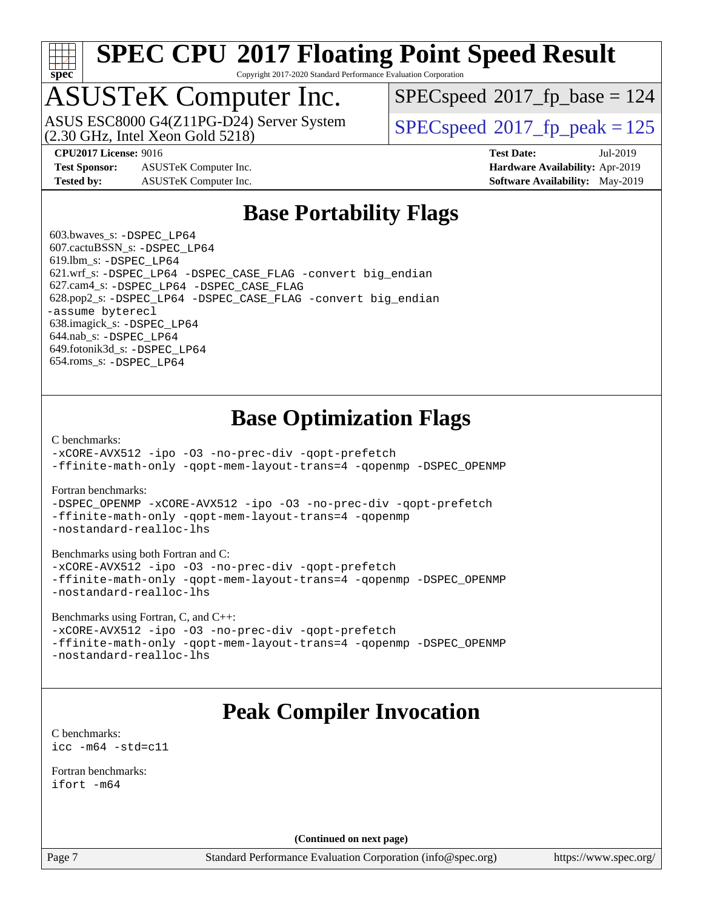

Copyright 2017-2020 Standard Performance Evaluation Corporation

## ASUSTeK Computer Inc.

(2.30 GHz, Intel Xeon Gold 5218) ASUS ESC8000 G4(Z11PG-D24) Server System  $S^{per}$  [SPECspeed](http://www.spec.org/auto/cpu2017/Docs/result-fields.html#SPECspeed2017fppeak)®2017 fp\_peak = 125

[SPECspeed](http://www.spec.org/auto/cpu2017/Docs/result-fields.html#SPECspeed2017fpbase)<sup>®</sup>2017 fp base = 124

**[Test Sponsor:](http://www.spec.org/auto/cpu2017/Docs/result-fields.html#TestSponsor)** ASUSTeK Computer Inc. **[Hardware Availability:](http://www.spec.org/auto/cpu2017/Docs/result-fields.html#HardwareAvailability)** Apr-2019 **[Tested by:](http://www.spec.org/auto/cpu2017/Docs/result-fields.html#Testedby)** ASUSTeK Computer Inc. **[Software Availability:](http://www.spec.org/auto/cpu2017/Docs/result-fields.html#SoftwareAvailability)** May-2019

**[CPU2017 License:](http://www.spec.org/auto/cpu2017/Docs/result-fields.html#CPU2017License)** 9016 **[Test Date:](http://www.spec.org/auto/cpu2017/Docs/result-fields.html#TestDate)** Jul-2019

#### **[Base Portability Flags](http://www.spec.org/auto/cpu2017/Docs/result-fields.html#BasePortabilityFlags)**

 603.bwaves\_s: [-DSPEC\\_LP64](http://www.spec.org/cpu2017/results/res2019q3/cpu2017-20190722-16299.flags.html#suite_basePORTABILITY603_bwaves_s_DSPEC_LP64) 607.cactuBSSN\_s: [-DSPEC\\_LP64](http://www.spec.org/cpu2017/results/res2019q3/cpu2017-20190722-16299.flags.html#suite_basePORTABILITY607_cactuBSSN_s_DSPEC_LP64) 619.lbm\_s: [-DSPEC\\_LP64](http://www.spec.org/cpu2017/results/res2019q3/cpu2017-20190722-16299.flags.html#suite_basePORTABILITY619_lbm_s_DSPEC_LP64) 621.wrf\_s: [-DSPEC\\_LP64](http://www.spec.org/cpu2017/results/res2019q3/cpu2017-20190722-16299.flags.html#suite_basePORTABILITY621_wrf_s_DSPEC_LP64) [-DSPEC\\_CASE\\_FLAG](http://www.spec.org/cpu2017/results/res2019q3/cpu2017-20190722-16299.flags.html#b621.wrf_s_baseCPORTABILITY_DSPEC_CASE_FLAG) [-convert big\\_endian](http://www.spec.org/cpu2017/results/res2019q3/cpu2017-20190722-16299.flags.html#user_baseFPORTABILITY621_wrf_s_convert_big_endian_c3194028bc08c63ac5d04de18c48ce6d347e4e562e8892b8bdbdc0214820426deb8554edfa529a3fb25a586e65a3d812c835984020483e7e73212c4d31a38223) 627.cam4\_s: [-DSPEC\\_LP64](http://www.spec.org/cpu2017/results/res2019q3/cpu2017-20190722-16299.flags.html#suite_basePORTABILITY627_cam4_s_DSPEC_LP64) [-DSPEC\\_CASE\\_FLAG](http://www.spec.org/cpu2017/results/res2019q3/cpu2017-20190722-16299.flags.html#b627.cam4_s_baseCPORTABILITY_DSPEC_CASE_FLAG) 628.pop2\_s: [-DSPEC\\_LP64](http://www.spec.org/cpu2017/results/res2019q3/cpu2017-20190722-16299.flags.html#suite_basePORTABILITY628_pop2_s_DSPEC_LP64) [-DSPEC\\_CASE\\_FLAG](http://www.spec.org/cpu2017/results/res2019q3/cpu2017-20190722-16299.flags.html#b628.pop2_s_baseCPORTABILITY_DSPEC_CASE_FLAG) [-convert big\\_endian](http://www.spec.org/cpu2017/results/res2019q3/cpu2017-20190722-16299.flags.html#user_baseFPORTABILITY628_pop2_s_convert_big_endian_c3194028bc08c63ac5d04de18c48ce6d347e4e562e8892b8bdbdc0214820426deb8554edfa529a3fb25a586e65a3d812c835984020483e7e73212c4d31a38223) [-assume byterecl](http://www.spec.org/cpu2017/results/res2019q3/cpu2017-20190722-16299.flags.html#user_baseFPORTABILITY628_pop2_s_assume_byterecl_7e47d18b9513cf18525430bbf0f2177aa9bf368bc7a059c09b2c06a34b53bd3447c950d3f8d6c70e3faf3a05c8557d66a5798b567902e8849adc142926523472) 638.imagick\_s: [-DSPEC\\_LP64](http://www.spec.org/cpu2017/results/res2019q3/cpu2017-20190722-16299.flags.html#suite_basePORTABILITY638_imagick_s_DSPEC_LP64) 644.nab\_s: [-DSPEC\\_LP64](http://www.spec.org/cpu2017/results/res2019q3/cpu2017-20190722-16299.flags.html#suite_basePORTABILITY644_nab_s_DSPEC_LP64) 649.fotonik3d\_s: [-DSPEC\\_LP64](http://www.spec.org/cpu2017/results/res2019q3/cpu2017-20190722-16299.flags.html#suite_basePORTABILITY649_fotonik3d_s_DSPEC_LP64) 654.roms\_s: [-DSPEC\\_LP64](http://www.spec.org/cpu2017/results/res2019q3/cpu2017-20190722-16299.flags.html#suite_basePORTABILITY654_roms_s_DSPEC_LP64)

### **[Base Optimization Flags](http://www.spec.org/auto/cpu2017/Docs/result-fields.html#BaseOptimizationFlags)**

[C benchmarks](http://www.spec.org/auto/cpu2017/Docs/result-fields.html#Cbenchmarks):

[-xCORE-AVX512](http://www.spec.org/cpu2017/results/res2019q3/cpu2017-20190722-16299.flags.html#user_CCbase_f-xCORE-AVX512) [-ipo](http://www.spec.org/cpu2017/results/res2019q3/cpu2017-20190722-16299.flags.html#user_CCbase_f-ipo) [-O3](http://www.spec.org/cpu2017/results/res2019q3/cpu2017-20190722-16299.flags.html#user_CCbase_f-O3) [-no-prec-div](http://www.spec.org/cpu2017/results/res2019q3/cpu2017-20190722-16299.flags.html#user_CCbase_f-no-prec-div) [-qopt-prefetch](http://www.spec.org/cpu2017/results/res2019q3/cpu2017-20190722-16299.flags.html#user_CCbase_f-qopt-prefetch) [-ffinite-math-only](http://www.spec.org/cpu2017/results/res2019q3/cpu2017-20190722-16299.flags.html#user_CCbase_f_finite_math_only_cb91587bd2077682c4b38af759c288ed7c732db004271a9512da14a4f8007909a5f1427ecbf1a0fb78ff2a814402c6114ac565ca162485bbcae155b5e4258871) [-qopt-mem-layout-trans=4](http://www.spec.org/cpu2017/results/res2019q3/cpu2017-20190722-16299.flags.html#user_CCbase_f-qopt-mem-layout-trans_fa39e755916c150a61361b7846f310bcdf6f04e385ef281cadf3647acec3f0ae266d1a1d22d972a7087a248fd4e6ca390a3634700869573d231a252c784941a8) [-qopenmp](http://www.spec.org/cpu2017/results/res2019q3/cpu2017-20190722-16299.flags.html#user_CCbase_qopenmp_16be0c44f24f464004c6784a7acb94aca937f053568ce72f94b139a11c7c168634a55f6653758ddd83bcf7b8463e8028bb0b48b77bcddc6b78d5d95bb1df2967) [-DSPEC\\_OPENMP](http://www.spec.org/cpu2017/results/res2019q3/cpu2017-20190722-16299.flags.html#suite_CCbase_DSPEC_OPENMP)

[Fortran benchmarks](http://www.spec.org/auto/cpu2017/Docs/result-fields.html#Fortranbenchmarks):

[-DSPEC\\_OPENMP](http://www.spec.org/cpu2017/results/res2019q3/cpu2017-20190722-16299.flags.html#suite_FCbase_DSPEC_OPENMP) [-xCORE-AVX512](http://www.spec.org/cpu2017/results/res2019q3/cpu2017-20190722-16299.flags.html#user_FCbase_f-xCORE-AVX512) [-ipo](http://www.spec.org/cpu2017/results/res2019q3/cpu2017-20190722-16299.flags.html#user_FCbase_f-ipo) [-O3](http://www.spec.org/cpu2017/results/res2019q3/cpu2017-20190722-16299.flags.html#user_FCbase_f-O3) [-no-prec-div](http://www.spec.org/cpu2017/results/res2019q3/cpu2017-20190722-16299.flags.html#user_FCbase_f-no-prec-div) [-qopt-prefetch](http://www.spec.org/cpu2017/results/res2019q3/cpu2017-20190722-16299.flags.html#user_FCbase_f-qopt-prefetch) [-ffinite-math-only](http://www.spec.org/cpu2017/results/res2019q3/cpu2017-20190722-16299.flags.html#user_FCbase_f_finite_math_only_cb91587bd2077682c4b38af759c288ed7c732db004271a9512da14a4f8007909a5f1427ecbf1a0fb78ff2a814402c6114ac565ca162485bbcae155b5e4258871) [-qopt-mem-layout-trans=4](http://www.spec.org/cpu2017/results/res2019q3/cpu2017-20190722-16299.flags.html#user_FCbase_f-qopt-mem-layout-trans_fa39e755916c150a61361b7846f310bcdf6f04e385ef281cadf3647acec3f0ae266d1a1d22d972a7087a248fd4e6ca390a3634700869573d231a252c784941a8) [-qopenmp](http://www.spec.org/cpu2017/results/res2019q3/cpu2017-20190722-16299.flags.html#user_FCbase_qopenmp_16be0c44f24f464004c6784a7acb94aca937f053568ce72f94b139a11c7c168634a55f6653758ddd83bcf7b8463e8028bb0b48b77bcddc6b78d5d95bb1df2967) [-nostandard-realloc-lhs](http://www.spec.org/cpu2017/results/res2019q3/cpu2017-20190722-16299.flags.html#user_FCbase_f_2003_std_realloc_82b4557e90729c0f113870c07e44d33d6f5a304b4f63d4c15d2d0f1fab99f5daaed73bdb9275d9ae411527f28b936061aa8b9c8f2d63842963b95c9dd6426b8a)

[Benchmarks using both Fortran and C](http://www.spec.org/auto/cpu2017/Docs/result-fields.html#BenchmarksusingbothFortranandC):

[-xCORE-AVX512](http://www.spec.org/cpu2017/results/res2019q3/cpu2017-20190722-16299.flags.html#user_CC_FCbase_f-xCORE-AVX512) [-ipo](http://www.spec.org/cpu2017/results/res2019q3/cpu2017-20190722-16299.flags.html#user_CC_FCbase_f-ipo) [-O3](http://www.spec.org/cpu2017/results/res2019q3/cpu2017-20190722-16299.flags.html#user_CC_FCbase_f-O3) [-no-prec-div](http://www.spec.org/cpu2017/results/res2019q3/cpu2017-20190722-16299.flags.html#user_CC_FCbase_f-no-prec-div) [-qopt-prefetch](http://www.spec.org/cpu2017/results/res2019q3/cpu2017-20190722-16299.flags.html#user_CC_FCbase_f-qopt-prefetch) [-ffinite-math-only](http://www.spec.org/cpu2017/results/res2019q3/cpu2017-20190722-16299.flags.html#user_CC_FCbase_f_finite_math_only_cb91587bd2077682c4b38af759c288ed7c732db004271a9512da14a4f8007909a5f1427ecbf1a0fb78ff2a814402c6114ac565ca162485bbcae155b5e4258871) [-qopt-mem-layout-trans=4](http://www.spec.org/cpu2017/results/res2019q3/cpu2017-20190722-16299.flags.html#user_CC_FCbase_f-qopt-mem-layout-trans_fa39e755916c150a61361b7846f310bcdf6f04e385ef281cadf3647acec3f0ae266d1a1d22d972a7087a248fd4e6ca390a3634700869573d231a252c784941a8) [-qopenmp](http://www.spec.org/cpu2017/results/res2019q3/cpu2017-20190722-16299.flags.html#user_CC_FCbase_qopenmp_16be0c44f24f464004c6784a7acb94aca937f053568ce72f94b139a11c7c168634a55f6653758ddd83bcf7b8463e8028bb0b48b77bcddc6b78d5d95bb1df2967) [-DSPEC\\_OPENMP](http://www.spec.org/cpu2017/results/res2019q3/cpu2017-20190722-16299.flags.html#suite_CC_FCbase_DSPEC_OPENMP) [-nostandard-realloc-lhs](http://www.spec.org/cpu2017/results/res2019q3/cpu2017-20190722-16299.flags.html#user_CC_FCbase_f_2003_std_realloc_82b4557e90729c0f113870c07e44d33d6f5a304b4f63d4c15d2d0f1fab99f5daaed73bdb9275d9ae411527f28b936061aa8b9c8f2d63842963b95c9dd6426b8a)

[Benchmarks using Fortran, C, and C++:](http://www.spec.org/auto/cpu2017/Docs/result-fields.html#BenchmarksusingFortranCandCXX)

[-xCORE-AVX512](http://www.spec.org/cpu2017/results/res2019q3/cpu2017-20190722-16299.flags.html#user_CC_CXX_FCbase_f-xCORE-AVX512) [-ipo](http://www.spec.org/cpu2017/results/res2019q3/cpu2017-20190722-16299.flags.html#user_CC_CXX_FCbase_f-ipo) [-O3](http://www.spec.org/cpu2017/results/res2019q3/cpu2017-20190722-16299.flags.html#user_CC_CXX_FCbase_f-O3) [-no-prec-div](http://www.spec.org/cpu2017/results/res2019q3/cpu2017-20190722-16299.flags.html#user_CC_CXX_FCbase_f-no-prec-div) [-qopt-prefetch](http://www.spec.org/cpu2017/results/res2019q3/cpu2017-20190722-16299.flags.html#user_CC_CXX_FCbase_f-qopt-prefetch) [-ffinite-math-only](http://www.spec.org/cpu2017/results/res2019q3/cpu2017-20190722-16299.flags.html#user_CC_CXX_FCbase_f_finite_math_only_cb91587bd2077682c4b38af759c288ed7c732db004271a9512da14a4f8007909a5f1427ecbf1a0fb78ff2a814402c6114ac565ca162485bbcae155b5e4258871) [-qopt-mem-layout-trans=4](http://www.spec.org/cpu2017/results/res2019q3/cpu2017-20190722-16299.flags.html#user_CC_CXX_FCbase_f-qopt-mem-layout-trans_fa39e755916c150a61361b7846f310bcdf6f04e385ef281cadf3647acec3f0ae266d1a1d22d972a7087a248fd4e6ca390a3634700869573d231a252c784941a8) [-qopenmp](http://www.spec.org/cpu2017/results/res2019q3/cpu2017-20190722-16299.flags.html#user_CC_CXX_FCbase_qopenmp_16be0c44f24f464004c6784a7acb94aca937f053568ce72f94b139a11c7c168634a55f6653758ddd83bcf7b8463e8028bb0b48b77bcddc6b78d5d95bb1df2967) [-DSPEC\\_OPENMP](http://www.spec.org/cpu2017/results/res2019q3/cpu2017-20190722-16299.flags.html#suite_CC_CXX_FCbase_DSPEC_OPENMP) [-nostandard-realloc-lhs](http://www.spec.org/cpu2017/results/res2019q3/cpu2017-20190722-16299.flags.html#user_CC_CXX_FCbase_f_2003_std_realloc_82b4557e90729c0f113870c07e44d33d6f5a304b4f63d4c15d2d0f1fab99f5daaed73bdb9275d9ae411527f28b936061aa8b9c8f2d63842963b95c9dd6426b8a)

### **[Peak Compiler Invocation](http://www.spec.org/auto/cpu2017/Docs/result-fields.html#PeakCompilerInvocation)**

[C benchmarks](http://www.spec.org/auto/cpu2017/Docs/result-fields.html#Cbenchmarks): [icc -m64 -std=c11](http://www.spec.org/cpu2017/results/res2019q3/cpu2017-20190722-16299.flags.html#user_CCpeak_intel_icc_64bit_c11_33ee0cdaae7deeeab2a9725423ba97205ce30f63b9926c2519791662299b76a0318f32ddfffdc46587804de3178b4f9328c46fa7c2b0cd779d7a61945c91cd35)

[Fortran benchmarks](http://www.spec.org/auto/cpu2017/Docs/result-fields.html#Fortranbenchmarks): [ifort -m64](http://www.spec.org/cpu2017/results/res2019q3/cpu2017-20190722-16299.flags.html#user_FCpeak_intel_ifort_64bit_24f2bb282fbaeffd6157abe4f878425411749daecae9a33200eee2bee2fe76f3b89351d69a8130dd5949958ce389cf37ff59a95e7a40d588e8d3a57e0c3fd751)

**(Continued on next page)**

Page 7 Standard Performance Evaluation Corporation [\(info@spec.org\)](mailto:info@spec.org) <https://www.spec.org/>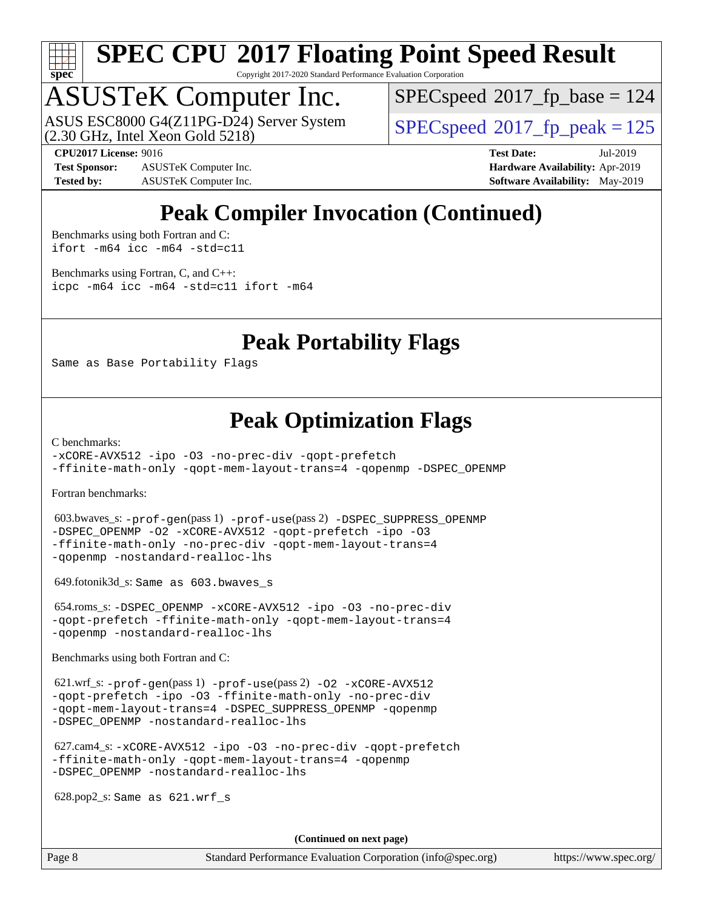

Copyright 2017-2020 Standard Performance Evaluation Corporation

## ASUSTeK Computer Inc.

(2.30 GHz, Intel Xeon Gold 5218) ASUS ESC8000 G4(Z11PG-D24) Server System  $SPECspeed@2017$  $SPECspeed@2017$  fp\_peak = 125

[SPECspeed](http://www.spec.org/auto/cpu2017/Docs/result-fields.html#SPECspeed2017fpbase)<sup>®</sup>2017 fp base = 124

**[Test Sponsor:](http://www.spec.org/auto/cpu2017/Docs/result-fields.html#TestSponsor)** ASUSTeK Computer Inc. **[Hardware Availability:](http://www.spec.org/auto/cpu2017/Docs/result-fields.html#HardwareAvailability)** Apr-2019 **[Tested by:](http://www.spec.org/auto/cpu2017/Docs/result-fields.html#Testedby)** ASUSTeK Computer Inc. **[Software Availability:](http://www.spec.org/auto/cpu2017/Docs/result-fields.html#SoftwareAvailability)** May-2019

**[CPU2017 License:](http://www.spec.org/auto/cpu2017/Docs/result-fields.html#CPU2017License)** 9016 **[Test Date:](http://www.spec.org/auto/cpu2017/Docs/result-fields.html#TestDate)** Jul-2019

### **[Peak Compiler Invocation \(Continued\)](http://www.spec.org/auto/cpu2017/Docs/result-fields.html#PeakCompilerInvocation)**

[Benchmarks using both Fortran and C](http://www.spec.org/auto/cpu2017/Docs/result-fields.html#BenchmarksusingbothFortranandC): [ifort -m64](http://www.spec.org/cpu2017/results/res2019q3/cpu2017-20190722-16299.flags.html#user_CC_FCpeak_intel_ifort_64bit_24f2bb282fbaeffd6157abe4f878425411749daecae9a33200eee2bee2fe76f3b89351d69a8130dd5949958ce389cf37ff59a95e7a40d588e8d3a57e0c3fd751) [icc -m64 -std=c11](http://www.spec.org/cpu2017/results/res2019q3/cpu2017-20190722-16299.flags.html#user_CC_FCpeak_intel_icc_64bit_c11_33ee0cdaae7deeeab2a9725423ba97205ce30f63b9926c2519791662299b76a0318f32ddfffdc46587804de3178b4f9328c46fa7c2b0cd779d7a61945c91cd35)

[Benchmarks using Fortran, C, and C++:](http://www.spec.org/auto/cpu2017/Docs/result-fields.html#BenchmarksusingFortranCandCXX) [icpc -m64](http://www.spec.org/cpu2017/results/res2019q3/cpu2017-20190722-16299.flags.html#user_CC_CXX_FCpeak_intel_icpc_64bit_4ecb2543ae3f1412ef961e0650ca070fec7b7afdcd6ed48761b84423119d1bf6bdf5cad15b44d48e7256388bc77273b966e5eb805aefd121eb22e9299b2ec9d9) [icc -m64 -std=c11](http://www.spec.org/cpu2017/results/res2019q3/cpu2017-20190722-16299.flags.html#user_CC_CXX_FCpeak_intel_icc_64bit_c11_33ee0cdaae7deeeab2a9725423ba97205ce30f63b9926c2519791662299b76a0318f32ddfffdc46587804de3178b4f9328c46fa7c2b0cd779d7a61945c91cd35) [ifort -m64](http://www.spec.org/cpu2017/results/res2019q3/cpu2017-20190722-16299.flags.html#user_CC_CXX_FCpeak_intel_ifort_64bit_24f2bb282fbaeffd6157abe4f878425411749daecae9a33200eee2bee2fe76f3b89351d69a8130dd5949958ce389cf37ff59a95e7a40d588e8d3a57e0c3fd751)

#### **[Peak Portability Flags](http://www.spec.org/auto/cpu2017/Docs/result-fields.html#PeakPortabilityFlags)**

Same as Base Portability Flags

#### **[Peak Optimization Flags](http://www.spec.org/auto/cpu2017/Docs/result-fields.html#PeakOptimizationFlags)**

[C benchmarks](http://www.spec.org/auto/cpu2017/Docs/result-fields.html#Cbenchmarks):

[-xCORE-AVX512](http://www.spec.org/cpu2017/results/res2019q3/cpu2017-20190722-16299.flags.html#user_CCpeak_f-xCORE-AVX512) [-ipo](http://www.spec.org/cpu2017/results/res2019q3/cpu2017-20190722-16299.flags.html#user_CCpeak_f-ipo) [-O3](http://www.spec.org/cpu2017/results/res2019q3/cpu2017-20190722-16299.flags.html#user_CCpeak_f-O3) [-no-prec-div](http://www.spec.org/cpu2017/results/res2019q3/cpu2017-20190722-16299.flags.html#user_CCpeak_f-no-prec-div) [-qopt-prefetch](http://www.spec.org/cpu2017/results/res2019q3/cpu2017-20190722-16299.flags.html#user_CCpeak_f-qopt-prefetch) [-ffinite-math-only](http://www.spec.org/cpu2017/results/res2019q3/cpu2017-20190722-16299.flags.html#user_CCpeak_f_finite_math_only_cb91587bd2077682c4b38af759c288ed7c732db004271a9512da14a4f8007909a5f1427ecbf1a0fb78ff2a814402c6114ac565ca162485bbcae155b5e4258871) [-qopt-mem-layout-trans=4](http://www.spec.org/cpu2017/results/res2019q3/cpu2017-20190722-16299.flags.html#user_CCpeak_f-qopt-mem-layout-trans_fa39e755916c150a61361b7846f310bcdf6f04e385ef281cadf3647acec3f0ae266d1a1d22d972a7087a248fd4e6ca390a3634700869573d231a252c784941a8) [-qopenmp](http://www.spec.org/cpu2017/results/res2019q3/cpu2017-20190722-16299.flags.html#user_CCpeak_qopenmp_16be0c44f24f464004c6784a7acb94aca937f053568ce72f94b139a11c7c168634a55f6653758ddd83bcf7b8463e8028bb0b48b77bcddc6b78d5d95bb1df2967) [-DSPEC\\_OPENMP](http://www.spec.org/cpu2017/results/res2019q3/cpu2017-20190722-16299.flags.html#suite_CCpeak_DSPEC_OPENMP)

[Fortran benchmarks](http://www.spec.org/auto/cpu2017/Docs/result-fields.html#Fortranbenchmarks):

 603.bwaves\_s: [-prof-gen](http://www.spec.org/cpu2017/results/res2019q3/cpu2017-20190722-16299.flags.html#user_peakPASS1_FFLAGSPASS1_LDFLAGS603_bwaves_s_prof_gen_5aa4926d6013ddb2a31985c654b3eb18169fc0c6952a63635c234f711e6e63dd76e94ad52365559451ec499a2cdb89e4dc58ba4c67ef54ca681ffbe1461d6b36)(pass 1) [-prof-use](http://www.spec.org/cpu2017/results/res2019q3/cpu2017-20190722-16299.flags.html#user_peakPASS2_FFLAGSPASS2_LDFLAGS603_bwaves_s_prof_use_1a21ceae95f36a2b53c25747139a6c16ca95bd9def2a207b4f0849963b97e94f5260e30a0c64f4bb623698870e679ca08317ef8150905d41bd88c6f78df73f19)(pass 2) [-DSPEC\\_SUPPRESS\\_OPENMP](http://www.spec.org/cpu2017/results/res2019q3/cpu2017-20190722-16299.flags.html#suite_peakPASS1_FOPTIMIZE603_bwaves_s_DSPEC_SUPPRESS_OPENMP) [-DSPEC\\_OPENMP](http://www.spec.org/cpu2017/results/res2019q3/cpu2017-20190722-16299.flags.html#suite_peakPASS2_FOPTIMIZE603_bwaves_s_DSPEC_OPENMP) [-O2](http://www.spec.org/cpu2017/results/res2019q3/cpu2017-20190722-16299.flags.html#user_peakPASS1_FOPTIMIZE603_bwaves_s_f-O2) [-xCORE-AVX512](http://www.spec.org/cpu2017/results/res2019q3/cpu2017-20190722-16299.flags.html#user_peakPASS2_FOPTIMIZE603_bwaves_s_f-xCORE-AVX512) [-qopt-prefetch](http://www.spec.org/cpu2017/results/res2019q3/cpu2017-20190722-16299.flags.html#user_peakPASS1_FOPTIMIZEPASS2_FOPTIMIZE603_bwaves_s_f-qopt-prefetch) [-ipo](http://www.spec.org/cpu2017/results/res2019q3/cpu2017-20190722-16299.flags.html#user_peakPASS2_FOPTIMIZE603_bwaves_s_f-ipo) [-O3](http://www.spec.org/cpu2017/results/res2019q3/cpu2017-20190722-16299.flags.html#user_peakPASS2_FOPTIMIZE603_bwaves_s_f-O3) [-ffinite-math-only](http://www.spec.org/cpu2017/results/res2019q3/cpu2017-20190722-16299.flags.html#user_peakPASS1_FOPTIMIZEPASS2_FOPTIMIZE603_bwaves_s_f_finite_math_only_cb91587bd2077682c4b38af759c288ed7c732db004271a9512da14a4f8007909a5f1427ecbf1a0fb78ff2a814402c6114ac565ca162485bbcae155b5e4258871) [-no-prec-div](http://www.spec.org/cpu2017/results/res2019q3/cpu2017-20190722-16299.flags.html#user_peakPASS2_FOPTIMIZE603_bwaves_s_f-no-prec-div) [-qopt-mem-layout-trans=4](http://www.spec.org/cpu2017/results/res2019q3/cpu2017-20190722-16299.flags.html#user_peakPASS1_FOPTIMIZEPASS2_FOPTIMIZE603_bwaves_s_f-qopt-mem-layout-trans_fa39e755916c150a61361b7846f310bcdf6f04e385ef281cadf3647acec3f0ae266d1a1d22d972a7087a248fd4e6ca390a3634700869573d231a252c784941a8) [-qopenmp](http://www.spec.org/cpu2017/results/res2019q3/cpu2017-20190722-16299.flags.html#user_peakPASS2_FOPTIMIZE603_bwaves_s_qopenmp_16be0c44f24f464004c6784a7acb94aca937f053568ce72f94b139a11c7c168634a55f6653758ddd83bcf7b8463e8028bb0b48b77bcddc6b78d5d95bb1df2967) [-nostandard-realloc-lhs](http://www.spec.org/cpu2017/results/res2019q3/cpu2017-20190722-16299.flags.html#user_peakEXTRA_FOPTIMIZE603_bwaves_s_f_2003_std_realloc_82b4557e90729c0f113870c07e44d33d6f5a304b4f63d4c15d2d0f1fab99f5daaed73bdb9275d9ae411527f28b936061aa8b9c8f2d63842963b95c9dd6426b8a)

649.fotonik3d\_s: Same as 603.bwaves\_s

 654.roms\_s: [-DSPEC\\_OPENMP](http://www.spec.org/cpu2017/results/res2019q3/cpu2017-20190722-16299.flags.html#suite_peakFOPTIMIZE654_roms_s_DSPEC_OPENMP) [-xCORE-AVX512](http://www.spec.org/cpu2017/results/res2019q3/cpu2017-20190722-16299.flags.html#user_peakFOPTIMIZE654_roms_s_f-xCORE-AVX512) [-ipo](http://www.spec.org/cpu2017/results/res2019q3/cpu2017-20190722-16299.flags.html#user_peakFOPTIMIZE654_roms_s_f-ipo) [-O3](http://www.spec.org/cpu2017/results/res2019q3/cpu2017-20190722-16299.flags.html#user_peakFOPTIMIZE654_roms_s_f-O3) [-no-prec-div](http://www.spec.org/cpu2017/results/res2019q3/cpu2017-20190722-16299.flags.html#user_peakFOPTIMIZE654_roms_s_f-no-prec-div) [-qopt-prefetch](http://www.spec.org/cpu2017/results/res2019q3/cpu2017-20190722-16299.flags.html#user_peakFOPTIMIZE654_roms_s_f-qopt-prefetch) [-ffinite-math-only](http://www.spec.org/cpu2017/results/res2019q3/cpu2017-20190722-16299.flags.html#user_peakFOPTIMIZE654_roms_s_f_finite_math_only_cb91587bd2077682c4b38af759c288ed7c732db004271a9512da14a4f8007909a5f1427ecbf1a0fb78ff2a814402c6114ac565ca162485bbcae155b5e4258871) [-qopt-mem-layout-trans=4](http://www.spec.org/cpu2017/results/res2019q3/cpu2017-20190722-16299.flags.html#user_peakFOPTIMIZE654_roms_s_f-qopt-mem-layout-trans_fa39e755916c150a61361b7846f310bcdf6f04e385ef281cadf3647acec3f0ae266d1a1d22d972a7087a248fd4e6ca390a3634700869573d231a252c784941a8) [-qopenmp](http://www.spec.org/cpu2017/results/res2019q3/cpu2017-20190722-16299.flags.html#user_peakFOPTIMIZE654_roms_s_qopenmp_16be0c44f24f464004c6784a7acb94aca937f053568ce72f94b139a11c7c168634a55f6653758ddd83bcf7b8463e8028bb0b48b77bcddc6b78d5d95bb1df2967) [-nostandard-realloc-lhs](http://www.spec.org/cpu2017/results/res2019q3/cpu2017-20190722-16299.flags.html#user_peakEXTRA_FOPTIMIZE654_roms_s_f_2003_std_realloc_82b4557e90729c0f113870c07e44d33d6f5a304b4f63d4c15d2d0f1fab99f5daaed73bdb9275d9ae411527f28b936061aa8b9c8f2d63842963b95c9dd6426b8a)

[Benchmarks using both Fortran and C](http://www.spec.org/auto/cpu2017/Docs/result-fields.html#BenchmarksusingbothFortranandC):

 621.wrf\_s: [-prof-gen](http://www.spec.org/cpu2017/results/res2019q3/cpu2017-20190722-16299.flags.html#user_peakPASS1_CFLAGSPASS1_FFLAGSPASS1_LDFLAGS621_wrf_s_prof_gen_5aa4926d6013ddb2a31985c654b3eb18169fc0c6952a63635c234f711e6e63dd76e94ad52365559451ec499a2cdb89e4dc58ba4c67ef54ca681ffbe1461d6b36)(pass 1) [-prof-use](http://www.spec.org/cpu2017/results/res2019q3/cpu2017-20190722-16299.flags.html#user_peakPASS2_CFLAGSPASS2_FFLAGSPASS2_LDFLAGS621_wrf_s_prof_use_1a21ceae95f36a2b53c25747139a6c16ca95bd9def2a207b4f0849963b97e94f5260e30a0c64f4bb623698870e679ca08317ef8150905d41bd88c6f78df73f19)(pass 2) [-O2](http://www.spec.org/cpu2017/results/res2019q3/cpu2017-20190722-16299.flags.html#user_peakPASS1_COPTIMIZEPASS1_FOPTIMIZE621_wrf_s_f-O2) [-xCORE-AVX512](http://www.spec.org/cpu2017/results/res2019q3/cpu2017-20190722-16299.flags.html#user_peakPASS2_COPTIMIZEPASS2_FOPTIMIZE621_wrf_s_f-xCORE-AVX512) [-qopt-prefetch](http://www.spec.org/cpu2017/results/res2019q3/cpu2017-20190722-16299.flags.html#user_peakPASS1_COPTIMIZEPASS1_FOPTIMIZEPASS2_COPTIMIZEPASS2_FOPTIMIZE621_wrf_s_f-qopt-prefetch) [-ipo](http://www.spec.org/cpu2017/results/res2019q3/cpu2017-20190722-16299.flags.html#user_peakPASS2_COPTIMIZEPASS2_FOPTIMIZE621_wrf_s_f-ipo) [-O3](http://www.spec.org/cpu2017/results/res2019q3/cpu2017-20190722-16299.flags.html#user_peakPASS2_COPTIMIZEPASS2_FOPTIMIZE621_wrf_s_f-O3) [-ffinite-math-only](http://www.spec.org/cpu2017/results/res2019q3/cpu2017-20190722-16299.flags.html#user_peakPASS1_COPTIMIZEPASS1_FOPTIMIZEPASS2_COPTIMIZEPASS2_FOPTIMIZE621_wrf_s_f_finite_math_only_cb91587bd2077682c4b38af759c288ed7c732db004271a9512da14a4f8007909a5f1427ecbf1a0fb78ff2a814402c6114ac565ca162485bbcae155b5e4258871) [-no-prec-div](http://www.spec.org/cpu2017/results/res2019q3/cpu2017-20190722-16299.flags.html#user_peakPASS2_COPTIMIZEPASS2_FOPTIMIZE621_wrf_s_f-no-prec-div) [-qopt-mem-layout-trans=4](http://www.spec.org/cpu2017/results/res2019q3/cpu2017-20190722-16299.flags.html#user_peakPASS1_COPTIMIZEPASS1_FOPTIMIZEPASS2_COPTIMIZEPASS2_FOPTIMIZE621_wrf_s_f-qopt-mem-layout-trans_fa39e755916c150a61361b7846f310bcdf6f04e385ef281cadf3647acec3f0ae266d1a1d22d972a7087a248fd4e6ca390a3634700869573d231a252c784941a8) [-DSPEC\\_SUPPRESS\\_OPENMP](http://www.spec.org/cpu2017/results/res2019q3/cpu2017-20190722-16299.flags.html#suite_peakPASS1_COPTIMIZEPASS1_FOPTIMIZE621_wrf_s_DSPEC_SUPPRESS_OPENMP) [-qopenmp](http://www.spec.org/cpu2017/results/res2019q3/cpu2017-20190722-16299.flags.html#user_peakPASS2_COPTIMIZEPASS2_FOPTIMIZE621_wrf_s_qopenmp_16be0c44f24f464004c6784a7acb94aca937f053568ce72f94b139a11c7c168634a55f6653758ddd83bcf7b8463e8028bb0b48b77bcddc6b78d5d95bb1df2967) [-DSPEC\\_OPENMP](http://www.spec.org/cpu2017/results/res2019q3/cpu2017-20190722-16299.flags.html#suite_peakPASS2_COPTIMIZEPASS2_FOPTIMIZE621_wrf_s_DSPEC_OPENMP) [-nostandard-realloc-lhs](http://www.spec.org/cpu2017/results/res2019q3/cpu2017-20190722-16299.flags.html#user_peakEXTRA_FOPTIMIZE621_wrf_s_f_2003_std_realloc_82b4557e90729c0f113870c07e44d33d6f5a304b4f63d4c15d2d0f1fab99f5daaed73bdb9275d9ae411527f28b936061aa8b9c8f2d63842963b95c9dd6426b8a)

 627.cam4\_s: [-xCORE-AVX512](http://www.spec.org/cpu2017/results/res2019q3/cpu2017-20190722-16299.flags.html#user_peakCOPTIMIZEFOPTIMIZE627_cam4_s_f-xCORE-AVX512) [-ipo](http://www.spec.org/cpu2017/results/res2019q3/cpu2017-20190722-16299.flags.html#user_peakCOPTIMIZEFOPTIMIZE627_cam4_s_f-ipo) [-O3](http://www.spec.org/cpu2017/results/res2019q3/cpu2017-20190722-16299.flags.html#user_peakCOPTIMIZEFOPTIMIZE627_cam4_s_f-O3) [-no-prec-div](http://www.spec.org/cpu2017/results/res2019q3/cpu2017-20190722-16299.flags.html#user_peakCOPTIMIZEFOPTIMIZE627_cam4_s_f-no-prec-div) [-qopt-prefetch](http://www.spec.org/cpu2017/results/res2019q3/cpu2017-20190722-16299.flags.html#user_peakCOPTIMIZEFOPTIMIZE627_cam4_s_f-qopt-prefetch) [-ffinite-math-only](http://www.spec.org/cpu2017/results/res2019q3/cpu2017-20190722-16299.flags.html#user_peakCOPTIMIZEFOPTIMIZE627_cam4_s_f_finite_math_only_cb91587bd2077682c4b38af759c288ed7c732db004271a9512da14a4f8007909a5f1427ecbf1a0fb78ff2a814402c6114ac565ca162485bbcae155b5e4258871) [-qopt-mem-layout-trans=4](http://www.spec.org/cpu2017/results/res2019q3/cpu2017-20190722-16299.flags.html#user_peakCOPTIMIZEFOPTIMIZE627_cam4_s_f-qopt-mem-layout-trans_fa39e755916c150a61361b7846f310bcdf6f04e385ef281cadf3647acec3f0ae266d1a1d22d972a7087a248fd4e6ca390a3634700869573d231a252c784941a8) [-qopenmp](http://www.spec.org/cpu2017/results/res2019q3/cpu2017-20190722-16299.flags.html#user_peakCOPTIMIZEFOPTIMIZE627_cam4_s_qopenmp_16be0c44f24f464004c6784a7acb94aca937f053568ce72f94b139a11c7c168634a55f6653758ddd83bcf7b8463e8028bb0b48b77bcddc6b78d5d95bb1df2967) [-DSPEC\\_OPENMP](http://www.spec.org/cpu2017/results/res2019q3/cpu2017-20190722-16299.flags.html#suite_peakCOPTIMIZEFOPTIMIZE627_cam4_s_DSPEC_OPENMP) [-nostandard-realloc-lhs](http://www.spec.org/cpu2017/results/res2019q3/cpu2017-20190722-16299.flags.html#user_peakEXTRA_FOPTIMIZE627_cam4_s_f_2003_std_realloc_82b4557e90729c0f113870c07e44d33d6f5a304b4f63d4c15d2d0f1fab99f5daaed73bdb9275d9ae411527f28b936061aa8b9c8f2d63842963b95c9dd6426b8a)

628.pop2\_s: Same as 621.wrf\_s

**(Continued on next page)**